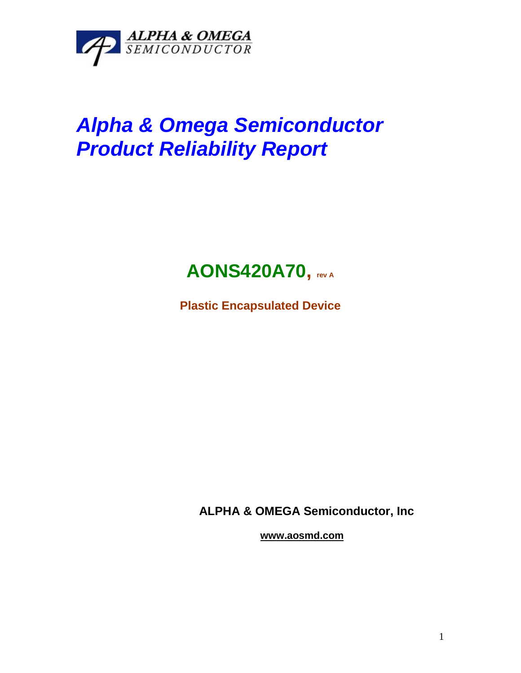

## *Alpha & Omega Semiconductor Product Reliability Report*



**Plastic Encapsulated Device**

**ALPHA & OMEGA Semiconductor, Inc**

**www.aosmd.com**